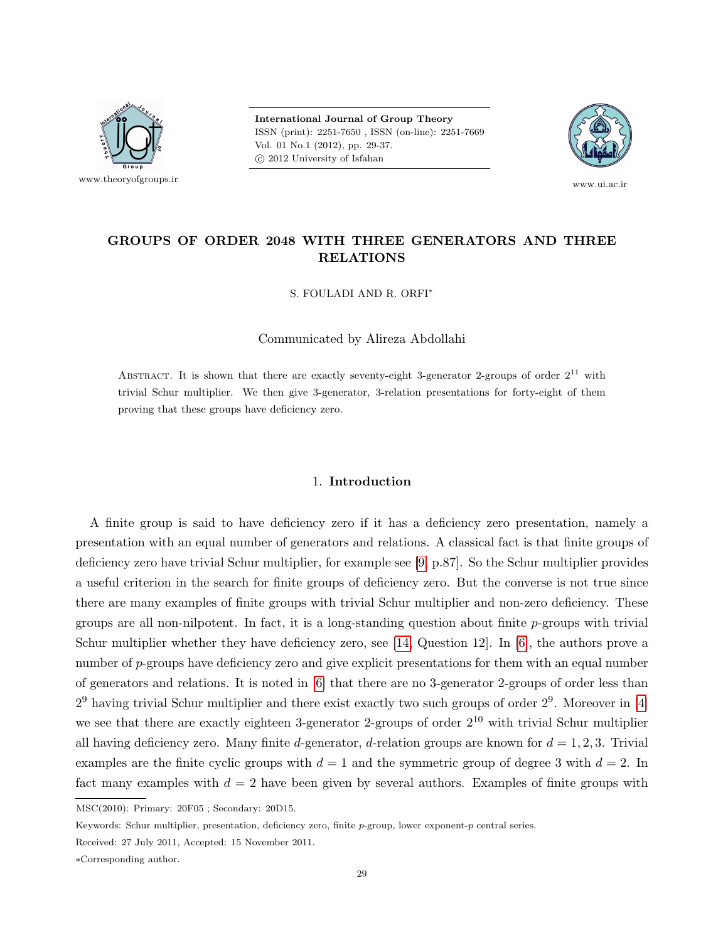

International Journal of Group Theory ISSN (print): 2251-7650 , ISSN (on-line): 2251-7669 Vol. 01 No.1 (2012), pp. 29-37. c 2012 University of Isfahan



www.ui.ac.ir

# GROUPS OF ORDER 2048 WITH THREE GENERATORS AND THREE RELATIONS

S. FOULADI AND R. ORFI<sup>∗</sup>

Communicated by Alireza Abdollahi

ABSTRACT. It is shown that there are exactly seventy-eight 3-generator 2-groups of order  $2^{11}$  with trivial Schur multiplier. We then give 3-generator, 3-relation presentations for forty-eight of them proving that these groups have deficiency zero.

## 1. Introduction

A finite group is said to have deficiency zero if it has a deficiency zero presentation, namely a presentation with an equal number of generators and relations. A classical fact is that finite groups of deficiency zero have trivial Schur multiplier, for example see [\[9,](#page-7-0) p.87]. So the Schur multiplier provides a useful criterion in the search for finite groups of deficiency zero. But the converse is not true since there are many examples of finite groups with trivial Schur multiplier and non-zero deficiency. These groups are all non-nilpotent. In fact, it is a long-standing question about finite  $p$ -groups with trivial Schur multiplier whether they have deficiency zero, see [\[14,](#page-7-0) Question 12]. In [\[6\]](#page-7-0), the authors prove a number of p-groups have deficiency zero and give explicit presentations for them with an equal number of generators and relations. It is noted in [\[6\]](#page-7-0) that there are no 3-generator 2-groups of order less than  $2<sup>9</sup>$  having trivial Schur multiplier and there exist exactly two such groups of order  $2<sup>9</sup>$ . Moreover in [\[4\]](#page-7-0) we see that there are exactly eighteen 3-generator 2-groups of order  $2^{10}$  with trivial Schur multiplier all having deficiency zero. Many finite d-generator, d-relation groups are known for  $d = 1, 2, 3$ . Trivial examples are the finite cyclic groups with  $d = 1$  and the symmetric group of degree 3 with  $d = 2$ . In fact many examples with  $d = 2$  have been given by several authors. Examples of finite groups with

MSC(2010): Primary: 20F05 ; Secondary: 20D15.

Keywords: Schur multiplier, presentation, deficiency zero, finite p-group, lower exponent-p central series.

Received: 27 July 2011, Accepted: 15 November 2011.

<sup>∗</sup>Corresponding author.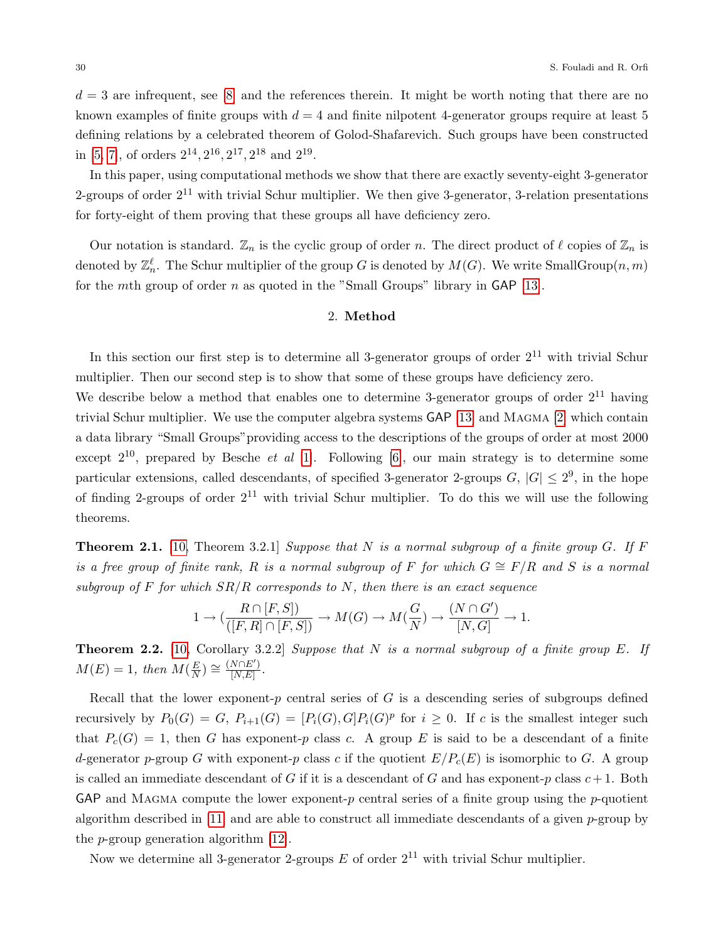$d = 3$  are infrequent, see [\[8\]](#page-7-0) and the references therein. It might be worth noting that there are no known examples of finite groups with  $d = 4$  and finite nilpotent 4-generator groups require at least 5 defining relations by a celebrated theorem of Golod-Shafarevich. Such groups have been constructed in [\[5, 7\]](#page-7-0), of orders  $2^{14}$ ,  $2^{16}$ ,  $2^{17}$ ,  $2^{18}$  and  $2^{19}$ .

In this paper, using computational methods we show that there are exactly seventy-eight 3-generator 2-groups of order  $2^{11}$  with trivial Schur multiplier. We then give 3-generator, 3-relation presentations for forty-eight of them proving that these groups all have deficiency zero.

Our notation is standard.  $\mathbb{Z}_n$  is the cyclic group of order n. The direct product of  $\ell$  copies of  $\mathbb{Z}_n$  is denoted by  $\mathbb{Z}_n^{\ell}$ . The Schur multiplier of the group G is denoted by  $M(G)$ . We write SmallGroup $(n,m)$ for the mth group of order  $n$  as quoted in the "Small Groups" library in GAP [\[13\]](#page-7-0).

# 2. Method

In this section our first step is to determine all 3-generator groups of order  $2^{11}$  with trivial Schur multiplier. Then our second step is to show that some of these groups have deficiency zero.

We describe below a method that enables one to determine 3-generator groups of order  $2^{11}$  having trivial Schur multiplier. We use the computer algebra systems GAP [\[13\]](#page-7-0) and Magma [\[2\]](#page-7-0) which contain a data library "Small Groups"providing access to the descriptions of the groups of order at most 2000 except  $2^{10}$ , prepared by Besche *et al* [\[1\]](#page-7-0). Following [\[6\]](#page-7-0), our main strategy is to determine some particular extensions, called descendants, of specified 3-generator 2-groups  $G, |G| \leq 2^9$ , in the hope of finding 2-groups of order  $2^{11}$  with trivial Schur multiplier. To do this we will use the following theorems.

<span id="page-1-2"></span>**Theorem 2.1.** [\[10,](#page-7-0) Theorem 3.2.1] Suppose that N is a normal subgroup of a finite group G. If F is a free group of finite rank, R is a normal subgroup of F for which  $G \cong F/R$  and S is a normal subgroup of F for which  $SR/R$  corresponds to N, then there is an exact sequence

$$
1 \rightarrow (\dfrac{R \cap [F,S])}{([F,R] \cap [F,S])} \rightarrow M(G) \rightarrow M(\dfrac{G}{N}) \rightarrow \dfrac{(N \cap G')}{[N,G]} \rightarrow 1.
$$

<span id="page-1-0"></span>**Theorem 2.2.** [\[10,](#page-7-0) Corollary 3.2.2] Suppose that  $N$  is a normal subgroup of a finite group  $E$ . If  $M(E) = 1$ , then  $M(\frac{E}{N})$  $\frac{E}{N}$ )  $\cong \frac{(N\cap E')}{[N,E]}$  $\frac{N[|E|]}{[N,E]}$ .

Recall that the lower exponent-p central series of  $G$  is a descending series of subgroups defined recursively by  $P_0(G) = G$ ,  $P_{i+1}(G) = [P_i(G), G]P_i(G)^p$  for  $i \ge 0$ . If c is the smallest integer such that  $P_c(G) = 1$ , then G has exponent-p class c. A group E is said to be a descendant of a finite d-generator p-group G with exponent-p class c if the quotient  $E/P_c(E)$  is isomorphic to G. A group is called an immediate descendant of G if it is a descendant of G and has exponent-p class  $c+1$ . Both GAP and MAGMA compute the lower exponent-p central series of a finite group using the p-quotient algorithm described in [\[11\]](#page-7-0) and are able to construct all immediate descendants of a given  $p$ -group by the p-group generation algorithm [\[12\]](#page-7-0).

<span id="page-1-1"></span>Now we determine all 3-generator 2-groups  $E$  of order  $2^{11}$  with trivial Schur multiplier.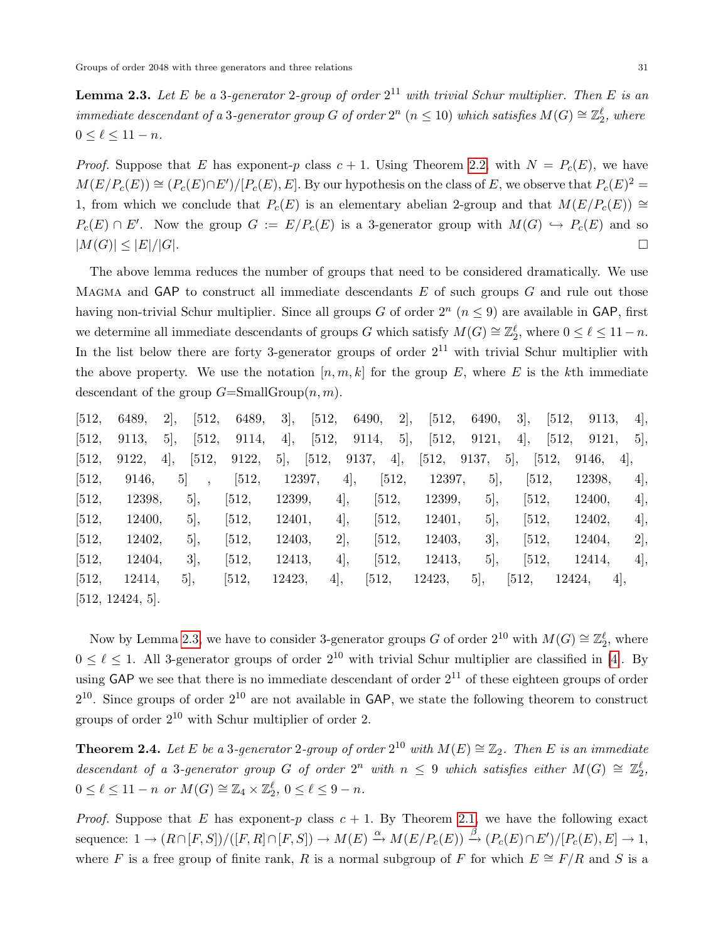**Lemma 2.3.** Let E be a 3-generator 2-group of order  $2^{11}$  with trivial Schur multiplier. Then E is an immediate descendant of a 3-generator group G of order  $2^n$   $(n \leq 10)$  which satisfies  $M(G) \cong \mathbb{Z}_2^{\ell}$ , where  $0 \leq \ell \leq 11 - n$ .

*Proof.* Suppose that E has exponent-p class  $c + 1$ . Using Theorem [2.2,](#page-1-0) with  $N = P<sub>c</sub>(E)$ , we have  $M(E/P_c(E)) \cong (P_c(E) \cap E')/[P_c(E), E]$ . By our hypothesis on the class of E, we observe that  $P_c(E)^2 =$ 1, from which we conclude that  $P_c(E)$  is an elementary abelian 2-group and that  $M(E/P_c(E))$  ≅  $P_c(E) \cap E'$ . Now the group  $G := E/P_c(E)$  is a 3-generator group with  $M(G) \hookrightarrow P_c(E)$  and so  $|M(G)| \leq |E|/|G|$ .

The above lemma reduces the number of groups that need to be considered dramatically. We use MAGMA and  $\mathsf{GAP}$  to construct all immediate descendants E of such groups G and rule out those having non-trivial Schur multiplier. Since all groups G of order  $2^n$   $(n \leq 9)$  are available in GAP, first we determine all immediate descendants of groups G which satisfy  $M(G) \cong \mathbb{Z}_2^{\ell}$ , where  $0 \leq \ell \leq 11 - n$ . In the list below there are forty 3-generator groups of order  $2^{11}$  with trivial Schur multiplier with the above property. We use the notation  $[n, m, k]$  for the group E, where E is the kth immediate descendant of the group  $G=\text{SmallGroup}(n,m)$ .

| [512,   | 6489,            | 2,             | [512, | 6489,   | 3,     | [512,   | 6490, | 2,    | [512,  | 6490, | 3,      | [512,<br>9113, | 4,  |
|---------|------------------|----------------|-------|---------|--------|---------|-------|-------|--------|-------|---------|----------------|-----|
| [512,   | 9113,            | 5,             | [512, | 9114,   | 4,     | $[512,$ | 9114, | 5,    | [512,  | 9121, | 4,      | [512,<br>9121, | 5,  |
| [512,   | 9122,            | 4,             | [512, | 9122,   | 5,     | [512,   | 9137, | 4,    | [512,  | 9137, | 5,      | [512,<br>9146, | 4,  |
| [512,   | 9146,            | 5 <sup>2</sup> |       | [512,   |        | 12397,  | 4,    | [512, | 12397, | 5,    | [512,   | 12398,         | 4,  |
| $[512,$ | 12398,           |                | 5,    | [512,   | 12399, |         | 4,    | [512, | 12399, | 5,    | [512,   | 12400,         | 4], |
| [512,   | 12400,           |                | 5,    | [512,   | 12401, |         | 4,    | [512, | 12401, | 5,    | [512,   | 12402,         | 4,  |
| [512,   | 12402,           |                | 5,    | [512,   | 12403, |         | 2,    | [512, | 12403, | 3,    | [512,   | 12404,         | 2], |
| [512,   | 12404,           |                | 3,    | $[512,$ | 12413, |         | 4,    | [512, | 12413, | 5,    | $[512,$ | 12414,         | 4,  |
| [512,   | 12414,           |                | 5,    | $[512,$ | 12423, | 4,      |       | [512, | 12423, | 5,    | [512,   | 12424,         | 4,  |
|         | [512, 12424, 5]. |                |       |         |        |         |       |       |        |       |         |                |     |

Now by Lemma [2.3,](#page-1-1) we have to consider 3-generator groups G of order  $2^{10}$  with  $M(G) \cong \mathbb{Z}_2^{\ell}$ , where  $0 \leq \ell \leq 1$ . All 3-generator groups of order  $2^{10}$  with trivial Schur multiplier are classified in [\[4\]](#page-7-0). By using GAP we see that there is no immediate descendant of order  $2^{11}$  of these eighteen groups of order  $2^{10}$ . Since groups of order  $2^{10}$  are not available in GAP, we state the following theorem to construct groups of order  $2^{10}$  with Schur multiplier of order 2.

**Theorem 2.4.** Let E be a 3-generator 2-group of order  $2^{10}$  with  $M(E) \cong \mathbb{Z}_2$ . Then E is an immediate descendant of a 3-generator group G of order  $2^n$  with  $n \leq 9$  which satisfies either  $M(G) \cong \mathbb{Z}_2^{\ell}$ ,  $0 \leq \ell \leq 11 - n \text{ or } M(G) \cong \mathbb{Z}_4 \times \mathbb{Z}_2^{\ell}, \ 0 \leq \ell \leq 9 - n.$ 

*Proof.* Suppose that E has exponent-p class  $c + 1$ . By Theorem [2.1,](#page-1-2) we have the following exact sequence:  $1 \to (R \cap [F, S])/([F, R] \cap [F, S]) \to M(E) \xrightarrow{\alpha} M(E/P_c(E)) \xrightarrow{\beta} (P_c(E) \cap E')/[P_c(E), E] \to 1$ , where F is a free group of finite rank, R is a normal subgroup of F for which  $E \cong F/R$  and S is a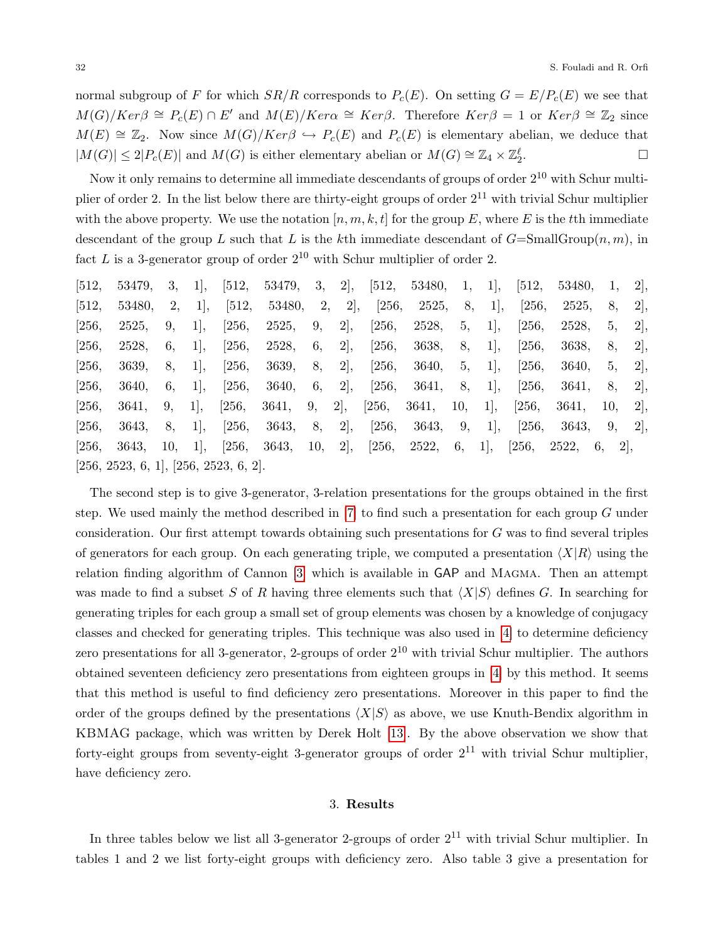normal subgroup of F for which  $SR/R$  corresponds to  $P_c(E)$ . On setting  $G = E/P_c(E)$  we see that  $M(G)/Ker\beta \cong P_c(E) \cap E'$  and  $M(E)/Ker\alpha \cong Ker\beta$ . Therefore  $Ker\beta = 1$  or  $Ker\beta \cong \mathbb{Z}_2$  since  $M(E) \cong \mathbb{Z}_2$ . Now since  $M(G)/Ker\beta \hookrightarrow P_c(E)$  and  $P_c(E)$  is elementary abelian, we deduce that  $|M(G)| \leq 2|P_c(E)|$  and  $M(G)$  is either elementary abelian or  $M(G) \cong \mathbb{Z}_4 \times \mathbb{Z}_2^{\ell}$ . — Процессиональные просто производительные производства и производства и производства и производства и произ<br>В производство производство производство производство производство производство производство производство прои

Now it only remains to determine all immediate descendants of groups of order  $2^{10}$  with Schur multiplier of order 2. In the list below there are thirty-eight groups of order  $2^{11}$  with trivial Schur multiplier with the above property. We use the notation  $[n, m, k, t]$  for the group E, where E is the tth immediate descendant of the group L such that L is the kth immediate descendant of  $G=\text{SmallGroup}(n,m)$ , in fact L is a 3-generator group of order  $2^{10}$  with Schur multiplier of order 2.

| [512, | 53479.                                | 3,  | 1, | [512, | 53479, | 3,  | 2, | [512, | 53480, | 1,  | 1, | [512, | 53480, |          | 2, |
|-------|---------------------------------------|-----|----|-------|--------|-----|----|-------|--------|-----|----|-------|--------|----------|----|
| [512, | 53480,                                | 2,  | 1, | [512, | 53480, | 2,  | 2, | [256, | 2525,  | 8,  | 1, | [256, | 2525,  | 8,       | 2, |
| [256, | 2525,                                 | 9,  | 1, | [256, | 2525,  | 9,  | 2, | [256, | 2528,  | 5,  | 1, | [256, | 2528,  | 5,       | 2, |
| [256, | 2528,                                 | 6,  | 1, | [256, | 2528,  | 6,  | 2, | [256, | 3638,  | 8,  | 1, | [256, | 3638,  | 8,       | 2, |
| [256, | 3639,                                 | 8,  | 1, | [256, | 3639,  | 8,  | 2, | [256, | 3640,  | 5,  | 1, | [256, | 3640,  | 5,       | 2, |
| [256, | 3640,                                 | 6,  | 1, | [256, | 3640,  | 6,  | 2, | [256, | 3641,  | 8,  | 1, | [256, | 3641,  | 8,       | 2, |
| [256, | 3641,                                 | 9,  | 1, | [256, | 3641,  | 9,  | 2, | [256, | 3641,  | 10, | 1, | [256, | 3641,  | 10.      | 2, |
| [256, | 3643,                                 | 8,  | 1, | [256, | 3643,  | 8,  | 2, | [256, | 3643,  | 9,  | 1, | [256, | 3643,  | 9,       | 2, |
| [256, | 3643,                                 | 10, | 1, | [256, | 3643,  | 10, | 2, | [256, | 2522,  | 6,  | 1, | [256, | 2522,  | 2,<br>6, |    |
|       | [256, 2523, 6, 1], [256, 2523, 6, 2]. |     |    |       |        |     |    |       |        |     |    |       |        |          |    |

The second step is to give 3-generator, 3-relation presentations for the groups obtained in the first step. We used mainly the method described in [\[7\]](#page-7-0) to find such a presentation for each group G under consideration. Our first attempt towards obtaining such presentations for G was to find several triples of generators for each group. On each generating triple, we computed a presentation  $\langle X|R\rangle$  using the relation finding algorithm of Cannon [\[3\]](#page-7-0) which is available in GAP and Magma. Then an attempt was made to find a subset S of R having three elements such that  $\langle X|S \rangle$  defines G. In searching for generating triples for each group a small set of group elements was chosen by a knowledge of conjugacy classes and checked for generating triples. This technique was also used in [\[4\]](#page-7-0) to determine deficiency zero presentations for all 3-generator, 2-groups of order  $2^{10}$  with trivial Schur multiplier. The authors obtained seventeen deficiency zero presentations from eighteen groups in [\[4\]](#page-7-0) by this method. It seems that this method is useful to find deficiency zero presentations. Moreover in this paper to find the order of the groups defined by the presentations  $\langle X|S \rangle$  as above, we use Knuth-Bendix algorithm in KBMAG package, which was written by Derek Holt [\[13\]](#page-7-0). By the above observation we show that forty-eight groups from seventy-eight 3-generator groups of order  $2^{11}$  with trivial Schur multiplier, have deficiency zero.

## 3. Results

In three tables below we list all 3-generator 2-groups of order  $2^{11}$  with trivial Schur multiplier. In tables 1 and 2 we list forty-eight groups with deficiency zero. Also table 3 give a presentation for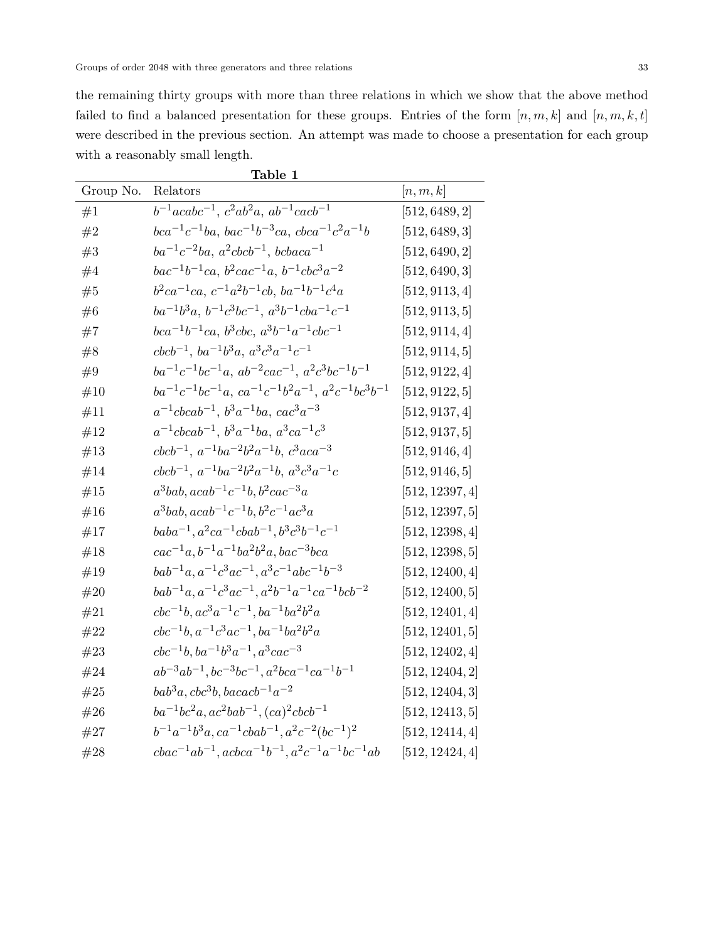the remaining thirty groups with more than three relations in which we show that the above method failed to find a balanced presentation for these groups. Entries of the form  $[n, m, k]$  and  $[n, m, k, t]$ were described in the previous section. An attempt was made to choose a presentation for each group with a reasonably small length.

|           | <u>Table 1</u>                                                             |                 |
|-----------|----------------------------------------------------------------------------|-----------------|
| Group No. | Relators                                                                   | [n,m,k]         |
| #1        | $b^{-1}acabc^{-1}$ , $c^2ab^2a$ , $ab^{-1}cacb^{-1}$                       | [512, 6489, 2]  |
| #2        | $bca^{-1}c^{-1}ba$ , $bac^{-1}b^{-3}ca$ , $cbca^{-1}c^2a^{-1}b$            | [512, 6489, 3]  |
| #3        | $ba^{-1}c^{-2}ba$ , $a^2cbcb^{-1}$ , $bcbaca^{-1}$                         | [512, 6490, 2]  |
| #4        | $bac^{-1}b^{-1}ca, b^2cac^{-1}a, b^{-1}cbc^3a^{-2}$                        | [512, 6490, 3]  |
| #5        | $b^2ca^{-1}ca, c^{-1}a^2b^{-1}cb, ba^{-1}b^{-1}c^4a$                       | [512, 9113, 4]  |
| #6        | $ba^{-1}b^3a, b^{-1}c^3bc^{-1}, a^3b^{-1}cba^{-1}c^{-1}$                   | [512, 9113, 5]  |
| #7        | $bca^{-1}b^{-1}ca, b^3cbc, a^3b^{-1}a^{-1}cbc^{-1}$                        | [512, 9114, 4]  |
| #8        | $cbcb^{-1}$ , $ba^{-1}b^3a$ , $a^3c^3a^{-1}c^{-1}$                         | [512, 9114, 5]  |
| #9        | $ba^{-1}c^{-1}bc^{-1}a$ , $ab^{-2}cac^{-1}$ , $a^2c^3bc^{-1}b^{-1}$        | [512, 9122, 4]  |
| #10       | $ba^{-1}c^{-1}bc^{-1}a$ , $ca^{-1}c^{-1}b^2a^{-1}$ , $a^2c^{-1}bc^3b^{-1}$ | [512, 9122, 5]  |
| #11       | $a^{-1}cbcab^{-1}, b^3a^{-1}ba, cac^3a^{-3}$                               | [512, 9137, 4]  |
| #12       | $a^{-1}cbcab^{-1}, b^3a^{-1}ba, a^3ca^{-1}c^3$                             | [512, 9137, 5]  |
| #13       | $cbcb^{-1}$ , $a^{-1}ba^{-2}b^2a^{-1}b$ , $c^3aca^{-3}$                    | [512, 9146, 4]  |
| #14       | $cbcb^{-1}, a^{-1}ba^{-2}b^2a^{-1}b, a^3c^3a^{-1}c$                        | [512, 9146, 5]  |
| #15       | $a^3bab, acab^{-1}c^{-1}b, b^2cac^{-3}a$                                   | [512, 12397, 4] |
| #16       | $a^3bab, acab^{-1}c^{-1}b, b^2c^{-1}ac^3a$                                 | [512, 12397, 5] |
| #17       | $baba^{-1}, a^2ca^{-1}cbab^{-1}, b^3c^3b^{-1}c^{-1}$                       | [512, 12398, 4] |
| #18       | $rac{-1}{a}$ , $b^{-1}a^{-1}ba^{2}b^{2}a$ , $bac^{-3}bca$                  | [512, 12398, 5] |
| #19       | $bab^{-1}a, a^{-1}c^3ac^{-1}, a^3c^{-1}abc^{-1}b^{-3}$                     | [512, 12400, 4] |
| #20       | $bab^{-1}a, a^{-1}c^3ac^{-1}, a^2b^{-1}a^{-1}ca^{-1}bcb^{-2}$              | [512, 12400, 5] |
| #21       | $cbc^{-1}b, ac^3a^{-1}c^{-1}, ba^{-1}ba^2b^2a$                             | [512, 12401, 4] |
| #22       | $cbc^{-1}b$ , $a^{-1}c^3ac^{-1}$ , $ba^{-1}ba^2b^2a$                       | [512, 12401, 5] |
| #23       | $cbc^{-1}b$ , $ba^{-1}b^3a^{-1}$ , $a^3cac^{-3}$                           | [512, 12402, 4] |
| #24       | $ab^{-3}ab^{-1}$ , $bc^{-3}bc^{-1}$ , $a^2bca^{-1}ca^{-1}b^{-1}$           | [512, 12404, 2] |
| #25       | $bab^3a, cbc^3b, bacacb^{-1}a^{-2}$                                        | [512, 12404, 3] |
| #26       | $ba^{-1}bc^2a, ac^2bab^{-1}, (ca)^2cbcb^{-1}$                              | [512, 12413, 5] |
| #27       | $b^{-1}a^{-1}b^3a, ca^{-1}cbab^{-1}, a^2c^{-2}(bc^{-1})^2$                 | [512, 12414, 4] |
| #28       | $cbac^{-1}ab^{-1}$ , $acbca^{-1}b^{-1}$ , $a^2c^{-1}a^{-1}bc^{-1}ab$       | [512, 12424, 4] |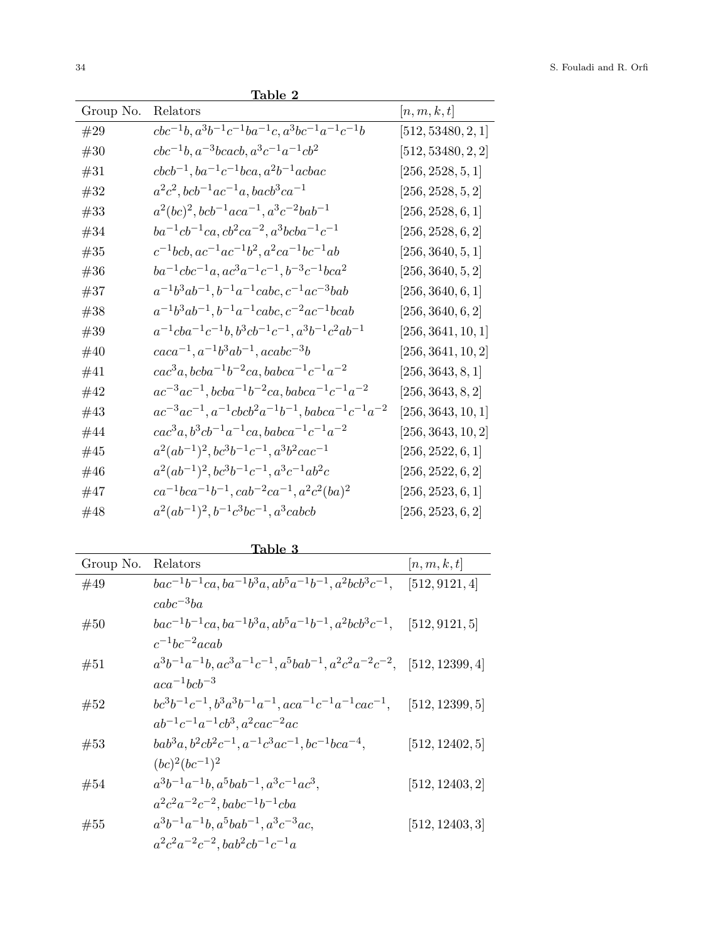| Group No. | Relators                                                                 | $\vert n,m,k,t\vert$ |
|-----------|--------------------------------------------------------------------------|----------------------|
| #29       | $cbc^{-1}b$ , $a^3b^{-1}c^{-1}ba^{-1}c$ , $a^3bc^{-1}a^{-1}c^{-1}b$      | [512, 53480, 2, 1]   |
| #30       | $cbc^{-1}b$ , $a^{-3}bcacb$ , $a^3c^{-1}a^{-1}cb^2$                      | [512, 53480, 2, 2]   |
| #31       | $cbcb^{-1}$ , $ba^{-1}c^{-1}bca$ , $a^2b^{-1}acbac$                      | [256, 2528, 5, 1]    |
| #32       | $a^2c^2, bcb^{-1}ac^{-1}a, bacb^3ca^{-1}$                                | [256, 2528, 5, 2]    |
| #33       | $a^2(bc)^2, bcb^{-1}aca^{-1}, a^3c^{-2}bab^{-1}$                         | [256, 2528, 6, 1]    |
| #34       | $ba^{-1}cb^{-1}ca, cb^2ca^{-2}, a^3bcba^{-1}c^{-1}$                      | [256, 2528, 6, 2]    |
| $\#35$    | $c^{-1}bcb, ac^{-1}ac^{-1}b^2, a^2ca^{-1}bc^{-1}ab$                      | [256, 3640, 5, 1]    |
| #36       | $ba^{-1}abc^{-1}a, ac^3a^{-1}c^{-1}, b^{-3}c^{-1}bca^2$                  | [256, 3640, 5, 2]    |
| #37       | $a^{-1}b^3ab^{-1}, b^{-1}a^{-1}cabc, c^{-1}ac^{-3}bab$                   | [256, 3640, 6, 1]    |
| #38       | $a^{-1}b^3ab^{-1}, b^{-1}a^{-1}cabc, c^{-2}ac^{-1}bcab$                  | [256, 3640, 6, 2]    |
| $\#39$    | $a^{-1}cba^{-1}c^{-1}b$ , $b^3cb^{-1}c^{-1}$ , $a^3b^{-1}c^2ab^{-1}$     | [256, 3641, 10, 1]   |
| $\#40$    | $caca^{-1}, a^{-1}b^3ab^{-1}, acabc^{-3}b$                               | [256, 3641, 10, 2]   |
| #41       | $cac^3a, bcba^{-1}b^{-2}ca, babca^{-1}c^{-1}a^{-2}$                      | [256, 3643, 8, 1]    |
| #42       | $ac^{-3}ac^{-1}$ , $bcba^{-1}b^{-2}ca$ , $babca^{-1}c^{-1}a^{-2}$        | [256, 3643, 8, 2]    |
| #43       | $ac^{-3}ac^{-1}$ , $a^{-1}cbcb^2a^{-1}b^{-1}$ , $babca^{-1}c^{-1}a^{-2}$ | [256, 3643, 10, 1]   |
| #44       | $cac^3a, b^3cb^{-1}a^{-1}ca, babca^{-1}c^{-1}a^{-2}$                     | [256, 3643, 10, 2]   |
| $\#45$    | $a^2(ab^{-1})^2$ , $bc^3b^{-1}c^{-1}$ , $a^3b^2cac^{-1}$                 | [256, 2522, 6, 1]    |
| #46       | $a^2(ab^{-1})^2$ , $bc^3b^{-1}c^{-1}$ , $a^3c^{-1}ab^2c$                 | [256, 2522, 6, 2]    |
| #47       | $ca^{-1}bca^{-1}b^{-1}, cab^{-2}ca^{-1}, a^2c^2(ba)^2$                   | [256, 2523, 6, 1]    |
| #48       | $a^2(ab^{-1})^2$ , $b^{-1}c^3bc^{-1}$ , $a^3cabcb$                       | [256, 2523, 6, 2]    |

Table 2

Table 3

| Table 3   |                                                                                                     |                            |  |  |  |
|-----------|-----------------------------------------------------------------------------------------------------|----------------------------|--|--|--|
| Group No. | Relators                                                                                            | [n,m,k,t]                  |  |  |  |
| #49       | $bac^{-1}b^{-1}ca$ , $ba^{-1}b^3a$ , $ab^5a^{-1}b^{-1}$ , $a^2bcb^3c^{-1}$ ,                        | [512, 9121, 4]             |  |  |  |
|           | $cabc^{-3}ba$                                                                                       |                            |  |  |  |
| #50       | $bac^{-1}b^{-1}ca$ , $ba^{-1}b^{3}a$ , $ab^{5}a^{-1}b^{-1}$ , $a^{2}bcb^{3}c^{-1}$ , [512, 9121, 5] |                            |  |  |  |
|           | $c^{-1}bc^{-2}acab$                                                                                 |                            |  |  |  |
| #51       | $a^3b^{-1}a^{-1}b$ , $ac^3a^{-1}c^{-1}$ , $a^5bab^{-1}$ , $a^2c^2a^{-2}c^{-2}$ , [512, 12399, 4]    |                            |  |  |  |
|           | $aca^{-1}bcb^{-3}$                                                                                  |                            |  |  |  |
| #52       | $bc^3b^{-1}c^{-1}, b^3a^3b^{-1}a^{-1}, aca^{-1}c^{-1}a^{-1}cac^{-1},$                               | [512, 12399, 5]            |  |  |  |
|           | $ab^{-1}c^{-1}a^{-1}cb^3$ , $a^2cac^{-2}ac$                                                         |                            |  |  |  |
| #53       | $bab^3a, b^2cb^2c^{-1}, a^{-1}c^3ac^{-1}, bc^{-1}bca^{-4},$                                         | [512, 12402, 5]            |  |  |  |
|           | $(bc)^{2}(bc^{-1})^{2}$                                                                             |                            |  |  |  |
| #54       | $a^3b^{-1}a^{-1}b$ , $a^5bab^{-1}$ , $a^3c^{-1}ac^3$ ,                                              | $\left[512,12403,2\right]$ |  |  |  |
|           | $a^2c^2a^{-2}c^{-2}$ , babc <sup>-1</sup> b <sup>-1</sup> cba                                       |                            |  |  |  |
| #55       | $a^3b^{-1}a^{-1}b$ , $a^5bab^{-1}$ , $a^3c^{-3}ac$ ,                                                | [512, 12403, 3]            |  |  |  |
|           | $a^2c^2a^{-2}c^{-2}$ , $bab^2cb^{-1}c^{-1}a$                                                        |                            |  |  |  |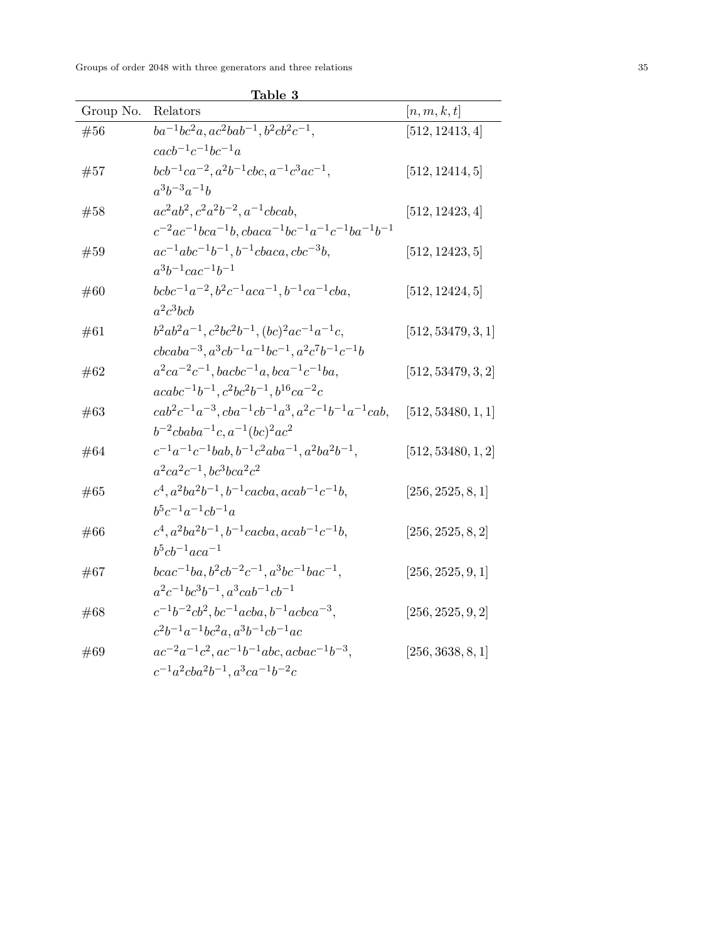|           | <u>ranie o</u>                                                                    |                    |
|-----------|-----------------------------------------------------------------------------------|--------------------|
| Group No. | Relators                                                                          | [n,m,k,t]          |
| #56       | $ba^{-1}bc^2a$ , $ac^2bab^{-1}$ , $b^2cb^2c^{-1}$ ,                               | [512, 12413, 4]    |
|           | $\c{a}cb^{-1}c^{-1}bc^{-1}a$                                                      |                    |
| #57       | $bcb^{-1}ca^{-2}, a^2b^{-1}cbc, a^{-1}c^3ac^{-1},$                                | [512, 12414, 5]    |
|           | $a^3b^{-3}a^{-1}b$                                                                |                    |
| #58       | $ac^2ab^2, c^2a^2b^{-2}, a^{-1}cbcab,$                                            | [512, 12423, 4]    |
|           | $c^{-2}ac^{-1}bca^{-1}b$ , $cbaca^{-1}bc^{-1}a^{-1}c^{-1}ba^{-1}b^{-1}$           |                    |
| #59       | $ac^{-1}abc^{-1}b^{-1}, b^{-1}cbaca, cbc^{-3}b,$                                  | [512, 12423, 5]    |
|           | $a^3b^{-1}cac^{-1}b^{-1}$                                                         |                    |
| #60       | $bcbc^{-1}a^{-2}$ , $b^2c^{-1}aca^{-1}$ , $b^{-1}ca^{-1}cba$ ,                    | [512, 12424, 5]    |
|           | $a^2c^3bcb$                                                                       |                    |
| #61       | $b^2ab^2a^{-1}, c^2bc^2b^{-1}, (bc)^2ac^{-1}a^{-1}c,$                             | [512, 53479, 3, 1] |
|           | $cbcaba^{-3}, a^3cb^{-1}a^{-1}bc^{-1}, a^2c^7b^{-1}c^{-1}b$                       |                    |
| #62       | $a^2ca^{-2}c^{-1}$ , bacbc <sup>-1</sup> a, bca <sup>-1</sup> c <sup>-1</sup> ba, | [512, 53479, 3, 2] |
|           | $acabc^{-1}b^{-1}, c^2bc^2b^{-1}, b^{16}ca^{-2}c$                                 |                    |
| #63       | $cab^2c^{-1}a^{-3}, cba^{-1}cb^{-1}a^3, a^2c^{-1}b^{-1}a^{-1}cab,$                | [512, 53480, 1, 1] |
|           | $b^{-2}cbaba^{-1}c, a^{-1}(bc)^2ac^2$                                             |                    |
| #64       | $c^{-1}a^{-1}c^{-1}bab, b^{-1}c^2aba^{-1}, a^2ba^2b^{-1},$                        | [512, 53480, 1, 2] |
|           | $a^2ca^2c^{-1}$ , $bc^3bca^2c^2$                                                  |                    |
| #65       | $c^4$ , $a^2ba^2b^{-1}$ , $b^{-1}cacba$ , $acab^{-1}c^{-1}b$ ,                    | [256, 2525, 8, 1]  |
|           | $b^5c^{-1}a^{-1}cb^{-1}a$                                                         |                    |
| #66       | $c^4$ , $a^2ba^2b^{-1}$ , $b^{-1}cacba$ , $acab^{-1}c^{-1}b$ ,                    | [256, 2525, 8, 2]  |
|           | $b^5cb^{-1}aca^{-1}$                                                              |                    |
| #67       | $bcac^{-1}ba, b^2cb^{-2}c^{-1}, a^3bc^{-1}bac^{-1},$                              | [256, 2525, 9, 1]  |
|           | $a^2c^{-1}bc^3b^{-1}, a^3cab^{-1}cb^{-1}$                                         |                    |
| #68       | $c^{-1}b^{-2}cb^2$ , $bc^{-1}acba$ , $b^{-1}acbca^{-3}$ ,                         | [256, 2525, 9, 2]  |
|           | $c^2b^{-1}a^{-1}bc^2a$ , $a^3b^{-1}cb^{-1}ac$                                     |                    |
| #69       | $ac^{-2}a^{-1}c^2$ , $ac^{-1}b^{-1}abc$ , $acbac^{-1}b^{-3}$ ,                    | [256, 3638, 8, 1]  |
|           | $c^{-1}a^2cba^2b^{-1}, a^3ca^{-1}b^{-2}c$                                         |                    |

Table 3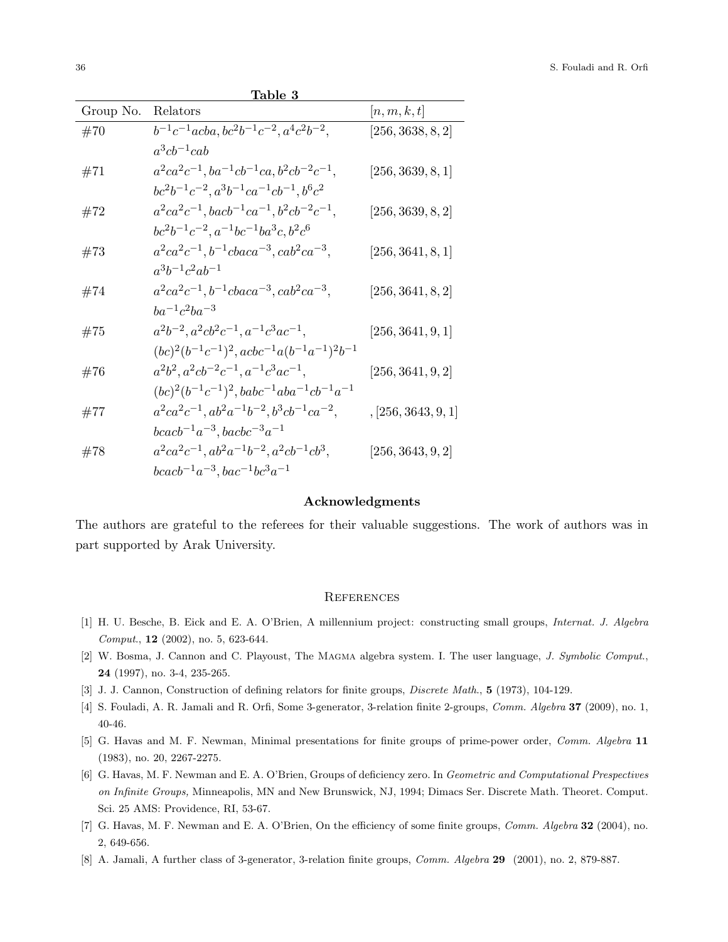| Table 3   |                                                                  |                     |  |  |  |  |
|-----------|------------------------------------------------------------------|---------------------|--|--|--|--|
| Group No. | Relators                                                         | [n,m,k,t]           |  |  |  |  |
| #70       | $b^{-1}c^{-1}acba, bc^2b^{-1}c^{-2}, a^4c^2b^{-2},$              | [256, 3638, 8, 2]   |  |  |  |  |
|           | $a^3cb^{-1}cab$                                                  |                     |  |  |  |  |
| #71       | $a^2ca^2c^{-1}$ , $ba^{-1}cb^{-1}ca$ , $b^2cb^{-2}c^{-1}$ ,      | [256, 3639, 8, 1]   |  |  |  |  |
|           | $bc2b-1c-2, a3b-1ca-1cb-1, b6c2$                                 |                     |  |  |  |  |
| #72       | $a^2ca^2c^{-1}$ , $bacb^{-1}ca^{-1}$ , $b^2cb^{-2}c^{-1}$ ,      | [256, 3639, 8, 2]   |  |  |  |  |
|           | $bc2b-1c-2, a-1bc-1ba3c, b2c6$                                   |                     |  |  |  |  |
| #73       | $a^2ca^2c^{-1}, b^{-1}cbaca^{-3}, cab^2ca^{-3},$                 | [256, 3641, 8, 1]   |  |  |  |  |
|           | $a^3b^{-1}c^2ab^{-1}$                                            |                     |  |  |  |  |
| #74       | $a^2ca^2c^{-1}, b^{-1}cbaca^{-3}, cab^2ca^{-3},$                 | [256, 3641, 8, 2]   |  |  |  |  |
|           | $ba^{-1}c^2ba^{-3}$                                              |                     |  |  |  |  |
| #75       | $a^2b^{-2}, a^2cb^2c^{-1}, a^{-1}c^3ac^{-1},$                    | [256, 3641, 9, 1]   |  |  |  |  |
|           | $(bc)^{2}(b^{-1}c^{-1})^{2}, acbc^{-1}a(b^{-1}a^{-1})^{2}b^{-1}$ |                     |  |  |  |  |
| #76       | $a^2b^2$ , $a^2cb^{-2}c^{-1}$ , $a^{-1}c^3ac^{-1}$ ,             | [256, 3641, 9, 2]   |  |  |  |  |
|           | $(bc)^{2}(b^{-1}c^{-1})^{2}, babc^{-1}aba^{-1}cb^{-1}a^{-1}$     |                     |  |  |  |  |
| #77       | $a^2ca^2c^{-1}, ab^2a^{-1}b^{-2}, b^3cb^{-1}ca^{-2},$            | , [256, 3643, 9, 1] |  |  |  |  |
|           | $bcacb^{-1}a^{-3}, bacbc^{-3}a^{-1}$                             |                     |  |  |  |  |
| #78       | $a^2ca^2c^{-1}, ab^2a^{-1}b^{-2}, a^2cb^{-1}cb^3,$               | [256, 3643, 9, 2]   |  |  |  |  |
|           | $bcacb^{-1}a^{-3}$ , $bac^{-1}bc^3a^{-1}$                        |                     |  |  |  |  |

#### Acknowledgments

The authors are grateful to the referees for their valuable suggestions. The work of authors was in part supported by Arak University.

### **REFERENCES**

- <span id="page-7-0"></span>[1] H. U. Besche, B. Eick and E. A. O'Brien, A millennium project: constructing small groups, Internat. J. Algebra Comput., 12 (2002), no. 5, 623-644.
- [2] W. Bosma, J. Cannon and C. Playoust, The MAGMA algebra system. I. The user language, J. Symbolic Comput., 24 (1997), no. 3-4, 235-265.
- [3] J. J. Cannon, Construction of defining relators for finite groups, *Discrete Math.*, **5** (1973), 104-129.
- [4] S. Fouladi, A. R. Jamali and R. Orfi, Some 3-generator, 3-relation finite 2-groups, Comm. Algebra 37 (2009), no. 1, 40-46.
- [5] G. Havas and M. F. Newman, Minimal presentations for finite groups of prime-power order, Comm. Algebra 11 (1983), no. 20, 2267-2275.
- [6] G. Havas, M. F. Newman and E. A. O'Brien, Groups of deficiency zero. In Geometric and Computational Prespectives on Infinite Groups, Minneapolis, MN and New Brunswick, NJ, 1994; Dimacs Ser. Discrete Math. Theoret. Comput. Sci. 25 AMS: Providence, RI, 53-67.
- [7] G. Havas, M. F. Newman and E. A. O'Brien, On the efficiency of some finite groups, *Comm. Algebra* 32 (2004), no. 2, 649-656.
- [8] A. Jamali, A further class of 3-generator, 3-relation finite groups, Comm. Algebra 29 (2001), no. 2, 879-887.